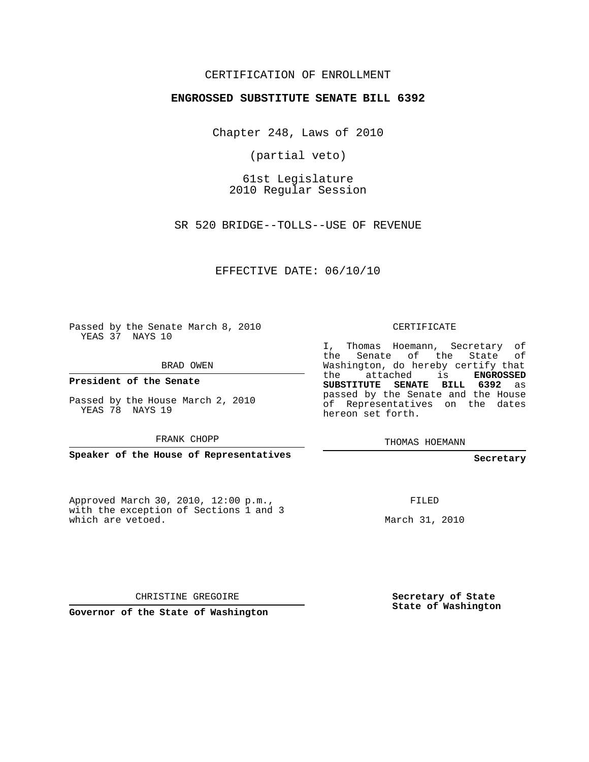## CERTIFICATION OF ENROLLMENT

## **ENGROSSED SUBSTITUTE SENATE BILL 6392**

Chapter 248, Laws of 2010

(partial veto)

61st Legislature 2010 Regular Session

SR 520 BRIDGE--TOLLS--USE OF REVENUE

EFFECTIVE DATE: 06/10/10

Passed by the Senate March 8, 2010 YEAS 37 NAYS 10

BRAD OWEN

**President of the Senate**

Passed by the House March 2, 2010 YEAS 78 NAYS 19

FRANK CHOPP

**Speaker of the House of Representatives**

Approved March 30, 2010, 12:00 p.m., with the exception of Sections 1 and 3 which are vetoed.

CERTIFICATE

I, Thomas Hoemann, Secretary of the Senate of the State of Washington, do hereby certify that the attached is **ENGROSSED SUBSTITUTE SENATE BILL 6392** as passed by the Senate and the House of Representatives on the dates hereon set forth.

THOMAS HOEMANN

**Secretary**

FILED

March 31, 2010

CHRISTINE GREGOIRE

**Governor of the State of Washington**

**Secretary of State State of Washington**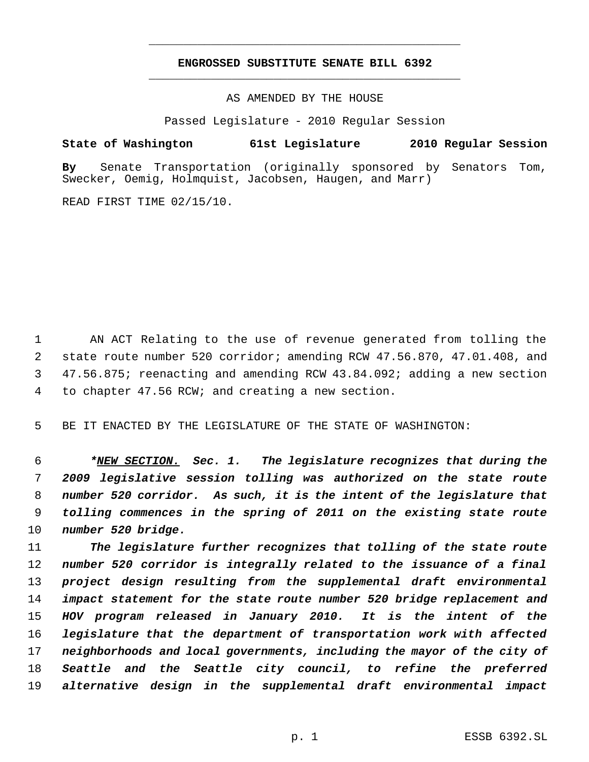## **ENGROSSED SUBSTITUTE SENATE BILL 6392** \_\_\_\_\_\_\_\_\_\_\_\_\_\_\_\_\_\_\_\_\_\_\_\_\_\_\_\_\_\_\_\_\_\_\_\_\_\_\_\_\_\_\_\_\_

\_\_\_\_\_\_\_\_\_\_\_\_\_\_\_\_\_\_\_\_\_\_\_\_\_\_\_\_\_\_\_\_\_\_\_\_\_\_\_\_\_\_\_\_\_

AS AMENDED BY THE HOUSE

Passed Legislature - 2010 Regular Session

## **State of Washington 61st Legislature 2010 Regular Session**

**By** Senate Transportation (originally sponsored by Senators Tom, Swecker, Oemig, Holmquist, Jacobsen, Haugen, and Marr)

READ FIRST TIME 02/15/10.

 AN ACT Relating to the use of revenue generated from tolling the state route number 520 corridor; amending RCW 47.56.870, 47.01.408, and 47.56.875; reenacting and amending RCW 43.84.092; adding a new section to chapter 47.56 RCW; and creating a new section.

BE IT ENACTED BY THE LEGISLATURE OF THE STATE OF WASHINGTON:

 *\*NEW SECTION. Sec. 1. The legislature recognizes that during the 2009 legislative session tolling was authorized on the state route number 520 corridor. As such, it is the intent of the legislature that tolling commences in the spring of 2011 on the existing state route number 520 bridge.*

 *The legislature further recognizes that tolling of the state route number 520 corridor is integrally related to the issuance of a final project design resulting from the supplemental draft environmental impact statement for the state route number 520 bridge replacement and HOV program released in January 2010. It is the intent of the legislature that the department of transportation work with affected neighborhoods and local governments, including the mayor of the city of Seattle and the Seattle city council, to refine the preferred alternative design in the supplemental draft environmental impact*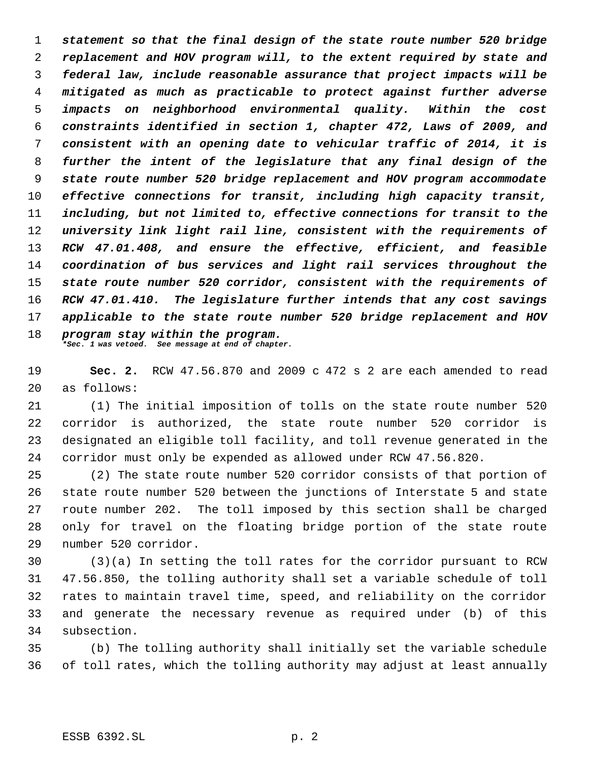*statement so that the final design of the state route number 520 bridge replacement and HOV program will, to the extent required by state and federal law, include reasonable assurance that project impacts will be mitigated as much as practicable to protect against further adverse impacts on neighborhood environmental quality. Within the cost constraints identified in section 1, chapter 472, Laws of 2009, and consistent with an opening date to vehicular traffic of 2014, it is further the intent of the legislature that any final design of the state route number 520 bridge replacement and HOV program accommodate effective connections for transit, including high capacity transit, including, but not limited to, effective connections for transit to the university link light rail line, consistent with the requirements of RCW 47.01.408, and ensure the effective, efficient, and feasible coordination of bus services and light rail services throughout the state route number 520 corridor, consistent with the requirements of RCW 47.01.410. The legislature further intends that any cost savings applicable to the state route number 520 bridge replacement and HOV program stay within the program. \*Sec. 1 was vetoed. See message at end of chapter.*

 **Sec. 2.** RCW 47.56.870 and 2009 c 472 s 2 are each amended to read as follows:

 (1) The initial imposition of tolls on the state route number 520 corridor is authorized, the state route number 520 corridor is designated an eligible toll facility, and toll revenue generated in the corridor must only be expended as allowed under RCW 47.56.820.

 (2) The state route number 520 corridor consists of that portion of state route number 520 between the junctions of Interstate 5 and state route number 202. The toll imposed by this section shall be charged only for travel on the floating bridge portion of the state route number 520 corridor.

 (3)(a) In setting the toll rates for the corridor pursuant to RCW 47.56.850, the tolling authority shall set a variable schedule of toll rates to maintain travel time, speed, and reliability on the corridor and generate the necessary revenue as required under (b) of this subsection.

 (b) The tolling authority shall initially set the variable schedule of toll rates, which the tolling authority may adjust at least annually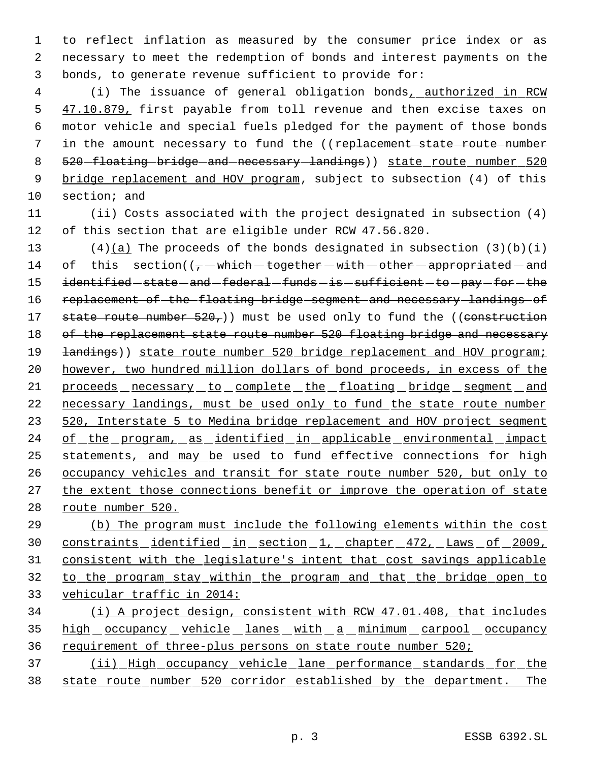1 to reflect inflation as measured by the consumer price index or as 2 necessary to meet the redemption of bonds and interest payments on the 3 bonds, to generate revenue sufficient to provide for:

4 (i) The issuance of general obligation bonds<sub>1</sub> authorized in RCW 5 47.10.879, first payable from toll revenue and then excise taxes on 6 motor vehicle and special fuels pledged for the payment of those bonds 7 in the amount necessary to fund the ((replacement state route number 8 520 floating bridge and necessary landings) state route number 520 9 bridge replacement and HOV program, subject to subsection (4) of this 10 section; and

11 (ii) Costs associated with the project designated in subsection (4) 12 of this section that are eligible under RCW 47.56.820.

13 (4)(a) The proceeds of the bonds designated in subsection  $(3)(b)(i)$ 14 of this section( $(-$  -which - together -with -other -appropriated - and 15 identified -state - and -federal -funds - is -sufficient - to -pay -for - the 16 replacement of the floating bridge segment and necessary landings of 17 state route number  $520<sub>7</sub>$ )) must be used only to fund the ((construction 18 of the replacement state route number 520 floating bridge and necessary 19 **landings**)) state route number 520 bridge replacement and HOV program; 20 however, two hundred million dollars of bond proceeds, in excess of the 21 proceeds necessary to complete the floating bridge segment and 22 necessary landings, must be used only to fund the state route number 23 520, Interstate 5 to Medina bridge replacement and HOV project segment 24 of the program, as identified in applicable environmental impact 25 statements, and may be used to fund effective connections for high 26 occupancy vehicles and transit for state route number 520, but only to 27 the extent those connections benefit or improve the operation of state 28 route number 520.

 (b) The program must include the following elements within the cost constraints identified in section 1, chapter 472, Laws of 2009, consistent with the legislature's intent that cost savings applicable to the program stay within the program and that the bridge open to vehicular traffic in 2014:

34 (i) A project design, consistent with RCW 47.01.408, that includes 35 high occupancy vehicle lanes with a minimum carpool occupancy 36 requirement of three-plus persons on state route number 520;

37 (ii) High occupancy vehicle lane performance standards for the 38 state route number 520 corridor established by the department. The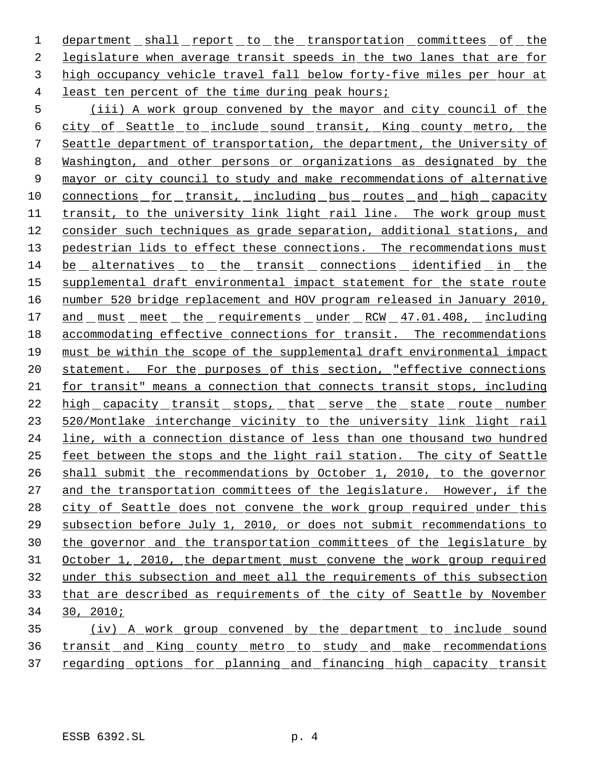1 department shall report to the transportation committees of the legislature when average transit speeds in the two lanes that are for high occupancy vehicle travel fall below forty-five miles per hour at least ten percent of the time during peak hours;

 (iii) A work group convened by the mayor and city council of the city of Seattle to include sound transit, King county metro, the Seattle department of transportation, the department, the University of Washington, and other persons or organizations as designated by the mayor or city council to study and make recommendations of alternative 10 connections for transit, including bus routes and high capacity transit, to the university link light rail line. The work group must 12 consider such techniques as grade separation, additional stations, and 13 pedestrian lids to effect these connections. The recommendations must be alternatives to the transit connections identified in the 15 supplemental draft environmental impact statement for the state route number 520 bridge replacement and HOV program released in January 2010, 17 and must meet the requirements under RCW 47.01.408, including accommodating effective connections for transit. The recommendations must be within the scope of the supplemental draft environmental impact 20 statement. For the purposes of this section, "effective connections for transit" means a connection that connects transit stops, including 22 high capacity transit stops, that serve the state route number 23 520/Montlake interchange vicinity to the university link light rail line, with a connection distance of less than one thousand two hundred feet between the stops and the light rail station. The city of Seattle shall submit the recommendations by October 1, 2010, to the governor 27 and the transportation committees of the legislature. However, if the 28 city of Seattle does not convene the work group required under this subsection before July 1, 2010, or does not submit recommendations to the governor and the transportation committees of the legislature by October 1, 2010, the department must convene the work group required under this subsection and meet all the requirements of this subsection that are described as requirements of the city of Seattle by November 30, 2010;

35 (iv) A work group convened by the department to include sound transit and King county metro to study and make recommendations 37 regarding options for planning and financing high capacity transit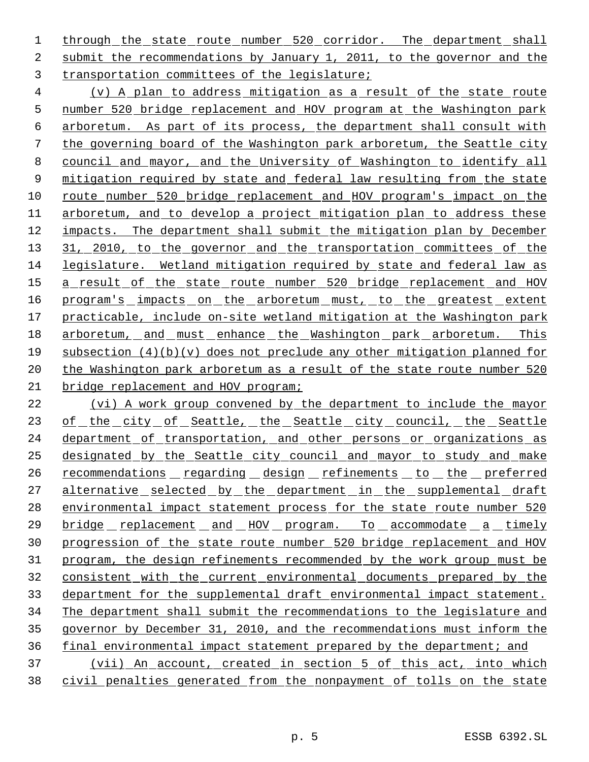1 through the state route number 520 corridor. The department shall submit the recommendations by January 1, 2011, to the governor and the transportation committees of the legislature;

 (v) A plan to address mitigation as a result of the state route number 520 bridge replacement and HOV program at the Washington park arboretum. As part of its process, the department shall consult with the governing board of the Washington park arboretum, the Seattle city council and mayor, and the University of Washington to identify all 9 mitigation required by state and federal law resulting from the state route number 520 bridge replacement and HOV program's impact on the arboretum, and to develop a project mitigation plan to address these impacts. The department shall submit the mitigation plan by December 13 31, 2010, to the governor and the transportation committees of the legislature. Wetland mitigation required by state and federal law as 15 a result of the state route number 520 bridge replacement and HOV 16 program's impacts on the arboretum must, to the greatest extent practicable, include on-site wetland mitigation at the Washington park arboretum, and must enhance the Washington park arboretum. This subsection (4)(b)(v) does not preclude any other mitigation planned for 20 the Washington park arboretum as a result of the state route number 520 21 bridge replacement and HOV program;

 (vi) A work group convened by the department to include the mayor 23 of the city of Seattle, the Seattle city council, the Seattle department of transportation, and other persons or organizations as designated by the Seattle city council and mayor to study and make 26 recommendations regarding design refinements to the preferred 27 alternative selected by the department in the supplemental draft 28 environmental impact statement process for the state route number 520 bridge replacement and HOV program. To accommodate a timely progression of the state route number 520 bridge replacement and HOV program, the design refinements recommended by the work group must be consistent with the current environmental documents prepared by the department for the supplemental draft environmental impact statement. The department shall submit the recommendations to the legislature and governor by December 31, 2010, and the recommendations must inform the final environmental impact statement prepared by the department; and (vii) An account, created in section 5 of this act, into which civil penalties generated from the nonpayment of tolls on the state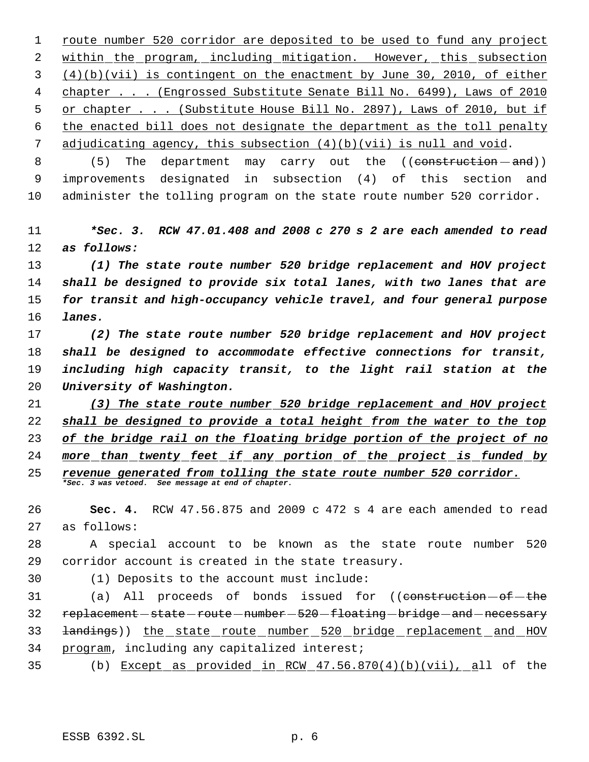route number 520 corridor are deposited to be used to fund any project within the program, including mitigation. However, this subsection (4)(b)(vii) is contingent on the enactment by June 30, 2010, of either chapter . . . (Engrossed Substitute Senate Bill No. 6499), Laws of 2010 or chapter . . . (Substitute House Bill No. 2897), Laws of 2010, but if the enacted bill does not designate the department as the toll penalty adjudicating agency, this subsection (4)(b)(vii) is null and void.

8 (5) The department may carry out the ((construction - and)) improvements designated in subsection (4) of this section and administer the tolling program on the state route number 520 corridor.

 *\*Sec. 3. RCW 47.01.408 and 2008 c 270 s 2 are each amended to read as follows:*

 *(1) The state route number 520 bridge replacement and HOV project shall be designed to provide six total lanes, with two lanes that are for transit and high-occupancy vehicle travel, and four general purpose lanes.*

 *(2) The state route number 520 bridge replacement and HOV project shall be designed to accommodate effective connections for transit, including high capacity transit, to the light rail station at the University of Washington.*

 *(3) The state route number 520 bridge replacement and HOV project shall be designed to provide a total height from the water to the top of the bridge rail on the floating bridge portion of the project of no more than twenty feet if any portion of the project is funded by revenue generated from tolling the state route number 520 corridor. \*Sec. 3 was vetoed. See message at end of chapter.*

 **Sec. 4.** RCW 47.56.875 and 2009 c 472 s 4 are each amended to read as follows:

 A special account to be known as the state route number 520 corridor account is created in the state treasury.

(1) Deposits to the account must include:

31 (a) All proceeds of bonds issued for ((construction  $-\theta$ f the 32 replacement - state - route - number - 520 - floating - bridge - and - necessary landings)) the state route number 520 bridge replacement and HOV program, including any capitalized interest;

(b) Except as provided in RCW 47.56.870(4)(b)(vii), all of the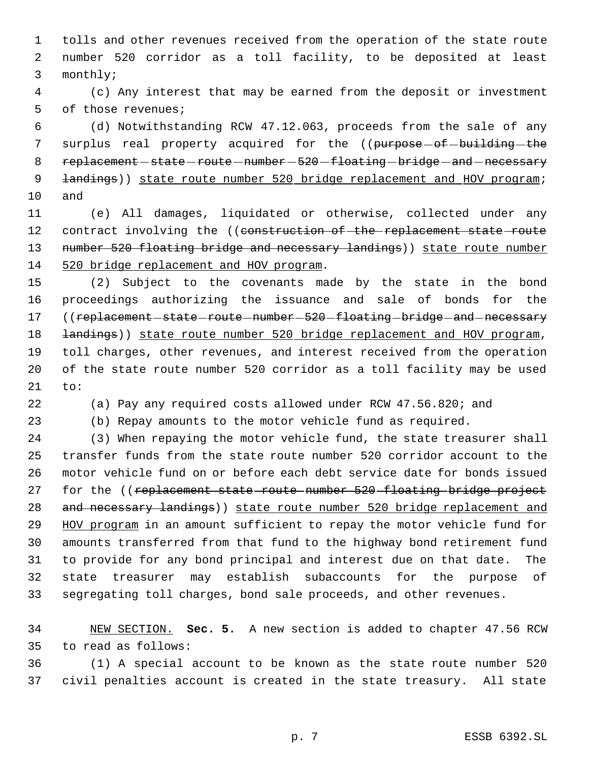tolls and other revenues received from the operation of the state route number 520 corridor as a toll facility, to be deposited at least monthly;

 (c) Any interest that may be earned from the deposit or investment of those revenues;

 (d) Notwithstanding RCW 47.12.063, proceeds from the sale of any 7 surplus real property acquired for the ((purpose-of-building-the 8 replacement - state - route - number - 520 - floating - bridge - and - necessary **landings**)) state route number 520 bridge replacement and HOV program; and

 (e) All damages, liquidated or otherwise, collected under any 12 contract involving the ((construction of the replacement state route 13 number 520 floating bridge and necessary landings)) state route number 520 bridge replacement and HOV program.

 (2) Subject to the covenants made by the state in the bond proceedings authorizing the issuance and sale of bonds for the 17 ((replacement-state-route-number-520-floating-bridge-and-necessary **landings**)) state route number 520 bridge replacement and HOV program, toll charges, other revenues, and interest received from the operation of the state route number 520 corridor as a toll facility may be used to:

(a) Pay any required costs allowed under RCW 47.56.820; and

(b) Repay amounts to the motor vehicle fund as required.

 (3) When repaying the motor vehicle fund, the state treasurer shall transfer funds from the state route number 520 corridor account to the motor vehicle fund on or before each debt service date for bonds issued 27 for the ((replacement state route number 520 floating bridge project 28 and necessary landings) ) state route number 520 bridge replacement and 29 HOV program in an amount sufficient to repay the motor vehicle fund for amounts transferred from that fund to the highway bond retirement fund to provide for any bond principal and interest due on that date. The state treasurer may establish subaccounts for the purpose of segregating toll charges, bond sale proceeds, and other revenues.

 NEW SECTION. **Sec. 5.** A new section is added to chapter 47.56 RCW to read as follows:

 (1) A special account to be known as the state route number 520 civil penalties account is created in the state treasury. All state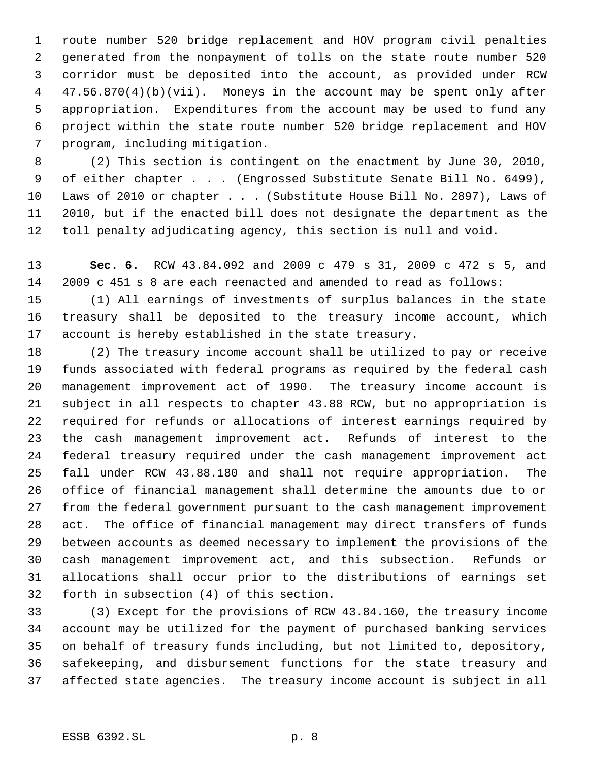route number 520 bridge replacement and HOV program civil penalties generated from the nonpayment of tolls on the state route number 520 corridor must be deposited into the account, as provided under RCW 47.56.870(4)(b)(vii). Moneys in the account may be spent only after appropriation. Expenditures from the account may be used to fund any project within the state route number 520 bridge replacement and HOV program, including mitigation.

 (2) This section is contingent on the enactment by June 30, 2010, of either chapter . . . (Engrossed Substitute Senate Bill No. 6499), Laws of 2010 or chapter . . . (Substitute House Bill No. 2897), Laws of 2010, but if the enacted bill does not designate the department as the toll penalty adjudicating agency, this section is null and void.

 **Sec. 6.** RCW 43.84.092 and 2009 c 479 s 31, 2009 c 472 s 5, and 2009 c 451 s 8 are each reenacted and amended to read as follows:

 (1) All earnings of investments of surplus balances in the state treasury shall be deposited to the treasury income account, which account is hereby established in the state treasury.

 (2) The treasury income account shall be utilized to pay or receive funds associated with federal programs as required by the federal cash management improvement act of 1990. The treasury income account is subject in all respects to chapter 43.88 RCW, but no appropriation is required for refunds or allocations of interest earnings required by the cash management improvement act. Refunds of interest to the federal treasury required under the cash management improvement act fall under RCW 43.88.180 and shall not require appropriation. The office of financial management shall determine the amounts due to or from the federal government pursuant to the cash management improvement act. The office of financial management may direct transfers of funds between accounts as deemed necessary to implement the provisions of the cash management improvement act, and this subsection. Refunds or allocations shall occur prior to the distributions of earnings set forth in subsection (4) of this section.

 (3) Except for the provisions of RCW 43.84.160, the treasury income account may be utilized for the payment of purchased banking services on behalf of treasury funds including, but not limited to, depository, safekeeping, and disbursement functions for the state treasury and affected state agencies. The treasury income account is subject in all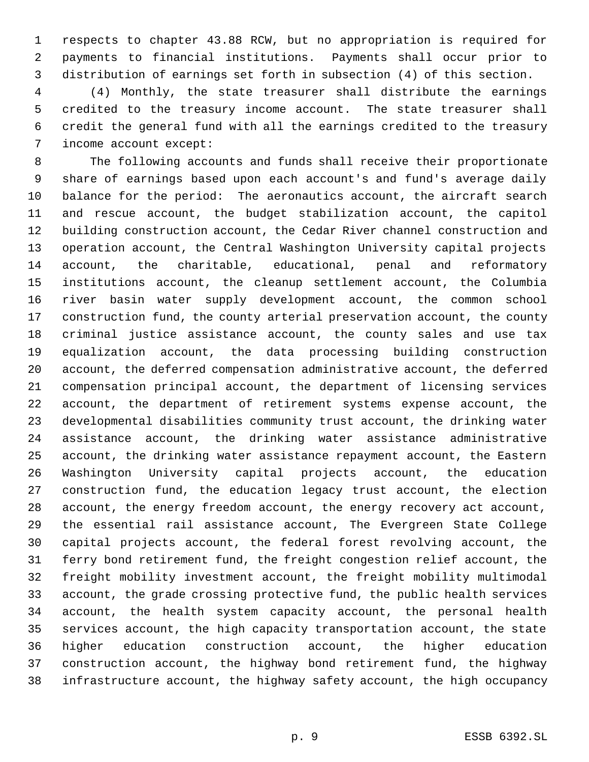respects to chapter 43.88 RCW, but no appropriation is required for payments to financial institutions. Payments shall occur prior to distribution of earnings set forth in subsection (4) of this section.

 (4) Monthly, the state treasurer shall distribute the earnings credited to the treasury income account. The state treasurer shall credit the general fund with all the earnings credited to the treasury income account except:

 The following accounts and funds shall receive their proportionate share of earnings based upon each account's and fund's average daily balance for the period: The aeronautics account, the aircraft search and rescue account, the budget stabilization account, the capitol building construction account, the Cedar River channel construction and operation account, the Central Washington University capital projects account, the charitable, educational, penal and reformatory institutions account, the cleanup settlement account, the Columbia river basin water supply development account, the common school construction fund, the county arterial preservation account, the county criminal justice assistance account, the county sales and use tax equalization account, the data processing building construction account, the deferred compensation administrative account, the deferred compensation principal account, the department of licensing services account, the department of retirement systems expense account, the developmental disabilities community trust account, the drinking water assistance account, the drinking water assistance administrative account, the drinking water assistance repayment account, the Eastern Washington University capital projects account, the education construction fund, the education legacy trust account, the election account, the energy freedom account, the energy recovery act account, the essential rail assistance account, The Evergreen State College capital projects account, the federal forest revolving account, the ferry bond retirement fund, the freight congestion relief account, the freight mobility investment account, the freight mobility multimodal account, the grade crossing protective fund, the public health services account, the health system capacity account, the personal health services account, the high capacity transportation account, the state higher education construction account, the higher education construction account, the highway bond retirement fund, the highway infrastructure account, the highway safety account, the high occupancy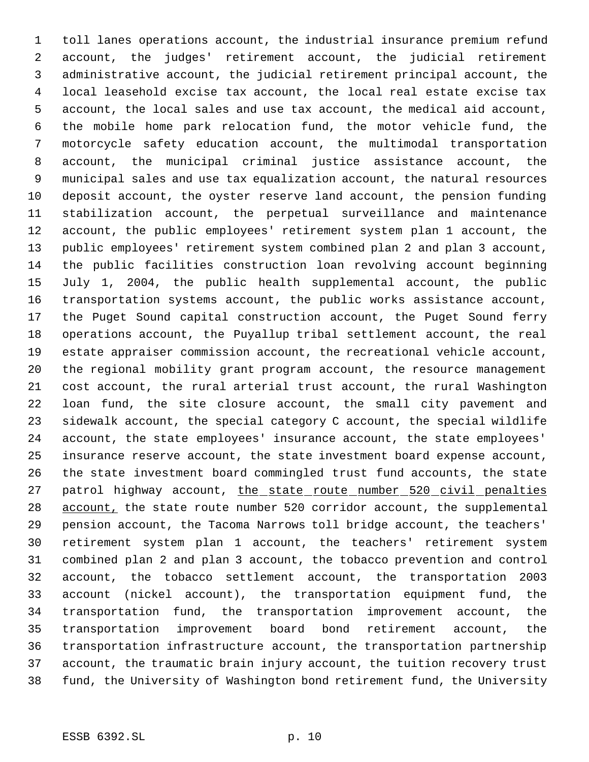toll lanes operations account, the industrial insurance premium refund account, the judges' retirement account, the judicial retirement administrative account, the judicial retirement principal account, the local leasehold excise tax account, the local real estate excise tax account, the local sales and use tax account, the medical aid account, the mobile home park relocation fund, the motor vehicle fund, the motorcycle safety education account, the multimodal transportation account, the municipal criminal justice assistance account, the municipal sales and use tax equalization account, the natural resources deposit account, the oyster reserve land account, the pension funding stabilization account, the perpetual surveillance and maintenance account, the public employees' retirement system plan 1 account, the public employees' retirement system combined plan 2 and plan 3 account, the public facilities construction loan revolving account beginning July 1, 2004, the public health supplemental account, the public transportation systems account, the public works assistance account, the Puget Sound capital construction account, the Puget Sound ferry operations account, the Puyallup tribal settlement account, the real estate appraiser commission account, the recreational vehicle account, the regional mobility grant program account, the resource management cost account, the rural arterial trust account, the rural Washington loan fund, the site closure account, the small city pavement and sidewalk account, the special category C account, the special wildlife account, the state employees' insurance account, the state employees' insurance reserve account, the state investment board expense account, the state investment board commingled trust fund accounts, the state 27 patrol highway account, the state route number 520 civil penalties 28 account, the state route number 520 corridor account, the supplemental pension account, the Tacoma Narrows toll bridge account, the teachers' retirement system plan 1 account, the teachers' retirement system combined plan 2 and plan 3 account, the tobacco prevention and control account, the tobacco settlement account, the transportation 2003 account (nickel account), the transportation equipment fund, the transportation fund, the transportation improvement account, the transportation improvement board bond retirement account, the transportation infrastructure account, the transportation partnership account, the traumatic brain injury account, the tuition recovery trust fund, the University of Washington bond retirement fund, the University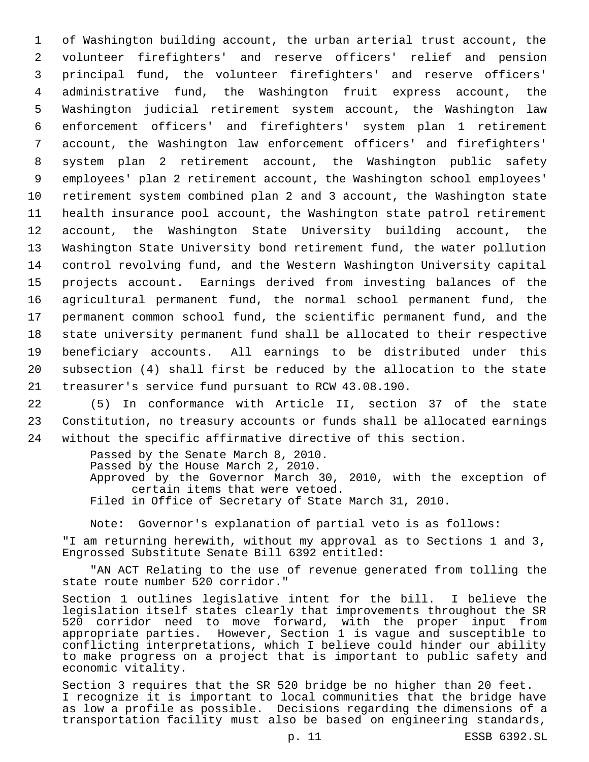of Washington building account, the urban arterial trust account, the volunteer firefighters' and reserve officers' relief and pension principal fund, the volunteer firefighters' and reserve officers' administrative fund, the Washington fruit express account, the Washington judicial retirement system account, the Washington law enforcement officers' and firefighters' system plan 1 retirement account, the Washington law enforcement officers' and firefighters' system plan 2 retirement account, the Washington public safety employees' plan 2 retirement account, the Washington school employees' retirement system combined plan 2 and 3 account, the Washington state health insurance pool account, the Washington state patrol retirement account, the Washington State University building account, the Washington State University bond retirement fund, the water pollution control revolving fund, and the Western Washington University capital projects account. Earnings derived from investing balances of the agricultural permanent fund, the normal school permanent fund, the permanent common school fund, the scientific permanent fund, and the state university permanent fund shall be allocated to their respective beneficiary accounts. All earnings to be distributed under this subsection (4) shall first be reduced by the allocation to the state treasurer's service fund pursuant to RCW 43.08.190.

22 (5) In conformance with Article II, section 37 of the state 23 Constitution, no treasury accounts or funds shall be allocated earnings 24 without the specific affirmative directive of this section.

> Passed by the Senate March 8, 2010. Passed by the House March 2, 2010. Approved by the Governor March 30, 2010, with the exception of certain items that were vetoed. Filed in Office of Secretary of State March 31, 2010.

Note: Governor's explanation of partial veto is as follows:

"I am returning herewith, without my approval as to Sections 1 and 3, Engrossed Substitute Senate Bill 6392 entitled:

"AN ACT Relating to the use of revenue generated from tolling the state route number 520 corridor."

Section 1 outlines legislative intent for the bill. I believe the legislation itself states clearly that improvements throughout the SR 520 corridor need to move forward, with the proper input from appropriate parties. However, Section 1 is vague and susceptible to conflicting interpretations, which I believe could hinder our ability to make progress on a project that is important to public safety and economic vitality.

Section 3 requires that the SR 520 bridge be no higher than 20 feet. I recognize it is important to local communities that the bridge have as low a profile as possible. Decisions regarding the dimensions of a transportation facility must also be based on engineering standards,